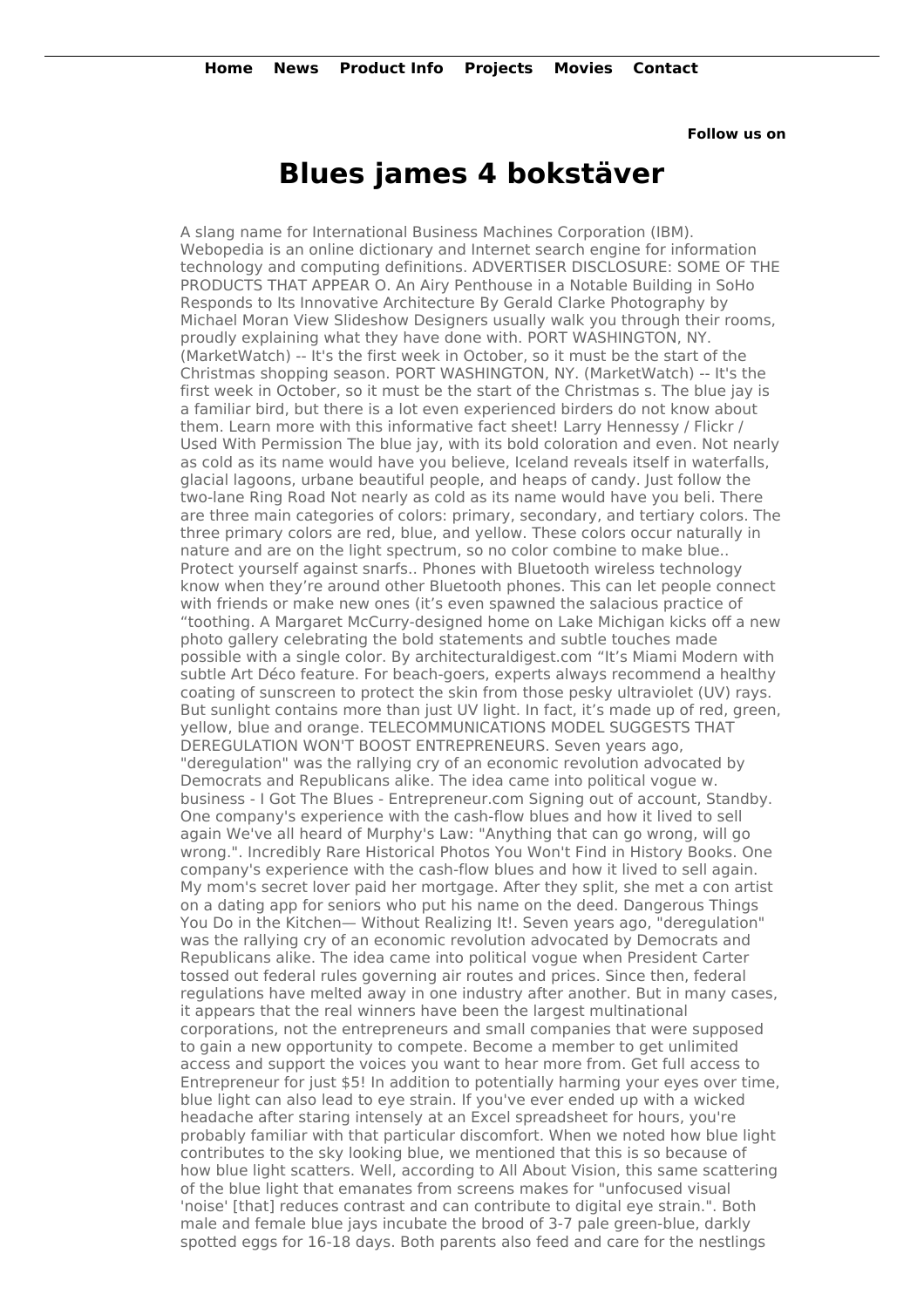**Follow us on**

## **Blues james 4 bokstäver**

A slang name for International Business Machines Corporation (IBM). Webopedia is an online dictionary and Internet search engine for information technology and computing definitions. ADVERTISER DISCLOSURE: SOME OF THE PRODUCTS THAT APPEAR O. An Airy Penthouse in a Notable Building in SoHo Responds to Its Innovative Architecture By Gerald Clarke Photography by Michael Moran View Slideshow Designers usually walk you through their rooms, proudly explaining what they have done with. PORT WASHINGTON, NY. (MarketWatch) -- It's the first week in October, so it must be the start of the Christmas shopping season. PORT WASHINGTON, NY. (MarketWatch) -- It's the first week in October, so it must be the start of the Christmas s. The blue jay is a familiar bird, but there is a lot even experienced birders do not know about them. Learn more with this informative fact sheet! Larry Hennessy / Flickr / Used With Permission The blue jay, with its bold coloration and even. Not nearly as cold as its name would have you believe, Iceland reveals itself in waterfalls, glacial lagoons, urbane beautiful people, and heaps of candy. Just follow the two-lane Ring Road Not nearly as cold as its name would have you beli. There are three main categories of colors: primary, secondary, and tertiary colors. The three primary colors are red, blue, and yellow. These colors occur naturally in nature and are on the light spectrum, so no color combine to make blue.. Protect yourself against snarfs.. Phones with Bluetooth wireless technology know when they're around other Bluetooth phones. This can let people connect with friends or make new ones (it's even spawned the salacious practice of "toothing. A Margaret McCurry-designed home on Lake Michigan kicks off a new photo gallery celebrating the bold statements and subtle touches made possible with a single color. By architecturaldigest.com "It's Miami Modern with subtle Art Déco feature. For beach-goers, experts always recommend a healthy coating of sunscreen to protect the skin from those pesky ultraviolet (UV) rays. But sunlight contains more than just UV light. In fact, it's made up of red, green, yellow, blue and orange. TELECOMMUNICATIONS MODEL SUGGESTS THAT DEREGULATION WON'T BOOST ENTREPRENEURS. Seven years ago, "deregulation" was the rallying cry of an economic revolution advocated by Democrats and Republicans alike. The idea came into political vogue w. business - I Got The Blues - Entrepreneur.com Signing out of account, Standby. One company's experience with the cash-flow blues and how it lived to sell again We've all heard of Murphy's Law: "Anything that can go wrong, will go wrong.". Incredibly Rare Historical Photos You Won't Find in History Books. One company's experience with the cash-flow blues and how it lived to sell again. My mom's secret lover paid her mortgage. After they split, she met a con artist on a dating app for seniors who put his name on the deed. Dangerous Things You Do in the Kitchen— Without Realizing It!. Seven years ago, "deregulation" was the rallying cry of an economic revolution advocated by Democrats and Republicans alike. The idea came into political vogue when President Carter tossed out federal rules governing air routes and prices. Since then, federal regulations have melted away in one industry after another. But in many cases, it appears that the real winners have been the largest multinational corporations, not the entrepreneurs and small companies that were supposed to gain a new opportunity to compete. Become a member to get unlimited access and support the voices you want to hear more from. Get full access to Entrepreneur for just \$5! In addition to potentially harming your eyes over time, blue light can also lead to eye strain. If you've ever ended up with a wicked headache after staring intensely at an Excel spreadsheet for hours, you're probably familiar with that particular discomfort. When we noted how blue light contributes to the sky looking blue, we mentioned that this is so because of how blue light scatters. Well, according to All About Vision, this same scattering of the blue light that emanates from screens makes for "unfocused visual 'noise' [that] reduces contrast and can contribute to digital eye strain.". Both male and female blue jays incubate the brood of 3-7 pale green-blue, darkly spotted eggs for 16-18 days. Both parents also feed and care for the nestlings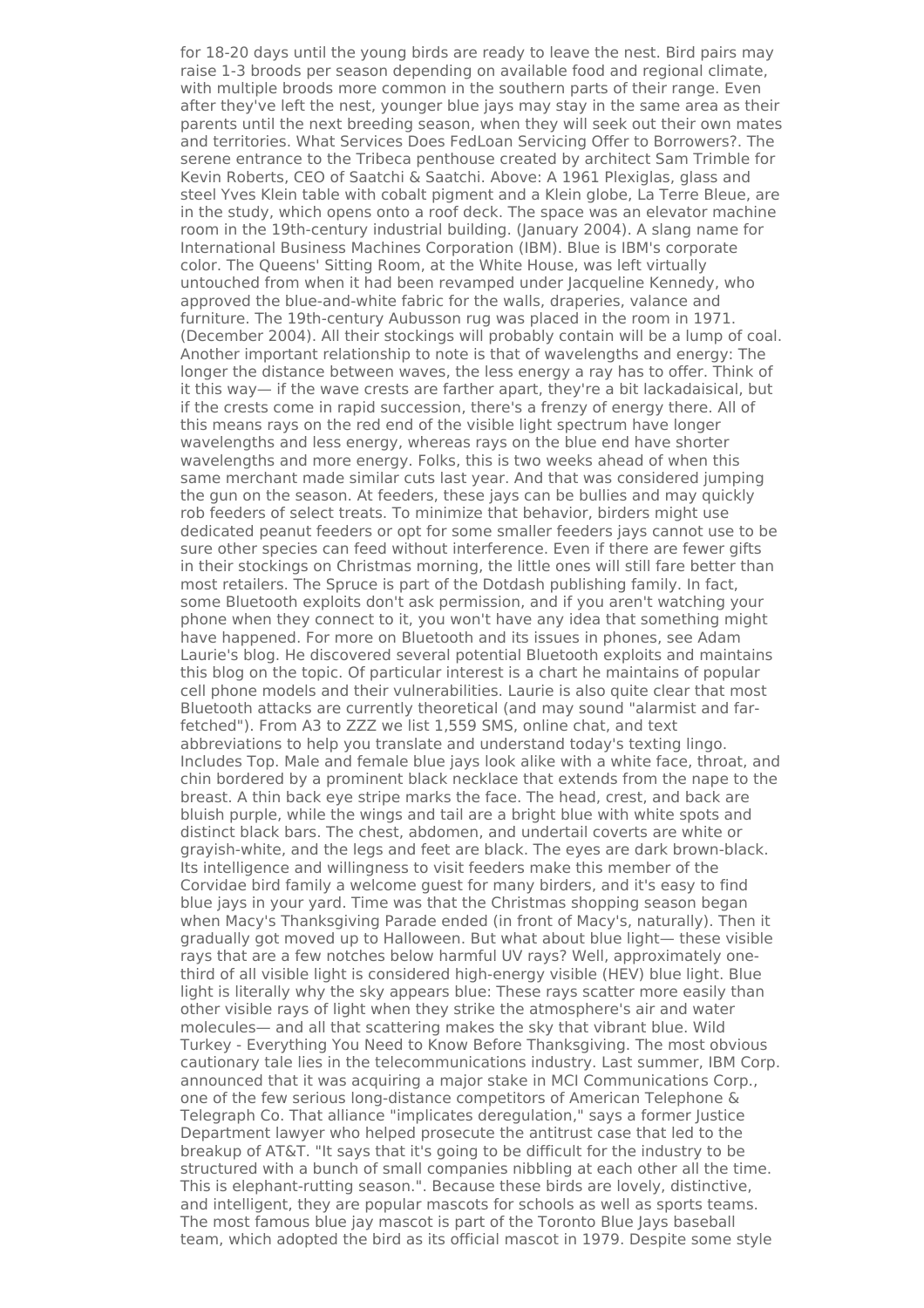for 18-20 days until the young birds are ready to leave the nest. Bird pairs may raise 1-3 broods per season depending on available food and regional climate, with multiple broods more common in the southern parts of their range. Even after they've left the nest, younger blue jays may stay in the same area as their parents until the next breeding season, when they will seek out their own mates and territories. What Services Does FedLoan Servicing Offer to Borrowers?. The serene entrance to the Tribeca penthouse created by architect Sam Trimble for Kevin Roberts, CEO of Saatchi & Saatchi. Above: A 1961 Plexiglas, glass and steel Yves Klein table with cobalt pigment and a Klein globe, La Terre Bleue, are in the study, which opens onto a roof deck. The space was an elevator machine room in the 19th-century industrial building. (January 2004). A slang name for International Business Machines Corporation (IBM). Blue is IBM's corporate color. The Queens' Sitting Room, at the White House, was left virtually untouched from when it had been revamped under Jacqueline Kennedy, who approved the blue-and-white fabric for the walls, draperies, valance and furniture. The 19th-century Aubusson rug was placed in the room in 1971. (December 2004). All their stockings will probably contain will be a lump of coal. Another important relationship to note is that of wavelengths and energy: The longer the distance between waves, the less energy a ray has to offer. Think of it this way— if the wave crests are farther apart, they're a bit lackadaisical, but if the crests come in rapid succession, there's a frenzy of energy there. All of this means rays on the red end of the visible light spectrum have longer wavelengths and less energy, whereas rays on the blue end have shorter wavelengths and more energy. Folks, this is two weeks ahead of when this same merchant made similar cuts last year. And that was considered jumping the gun on the season. At feeders, these jays can be bullies and may quickly rob feeders of select treats. To minimize that behavior, birders might use dedicated peanut feeders or opt for some smaller feeders jays cannot use to be sure other species can feed without interference. Even if there are fewer gifts in their stockings on Christmas morning, the little ones will still fare better than most retailers. The Spruce is part of the Dotdash publishing family. In fact, some Bluetooth exploits don't ask permission, and if you aren't watching your phone when they connect to it, you won't have any idea that something might have happened. For more on Bluetooth and its issues in phones, see Adam Laurie's blog. He discovered several potential Bluetooth exploits and maintains this blog on the topic. Of particular interest is a chart he maintains of popular cell phone models and their vulnerabilities. Laurie is also quite clear that most Bluetooth attacks are currently theoretical (and may sound "alarmist and farfetched"). From A3 to ZZZ we list 1,559 SMS, online chat, and text abbreviations to help you translate and understand today's texting lingo. Includes Top. Male and female blue jays look alike with a white face, throat, and chin bordered by a prominent black necklace that extends from the nape to the breast. A thin back eye stripe marks the face. The head, crest, and back are bluish purple, while the wings and tail are a bright blue with white spots and distinct black bars. The chest, abdomen, and undertail coverts are white or grayish-white, and the legs and feet are black. The eyes are dark brown-black. Its intelligence and willingness to visit feeders make this member of the Corvidae bird family a welcome guest for many birders, and it's easy to find blue jays in your yard. Time was that the Christmas shopping season began when Macy's Thanksgiving Parade ended (in front of Macy's, naturally). Then it gradually got moved up to Halloween. But what about blue light— these visible rays that are a few notches below harmful UV rays? Well, approximately onethird of all visible light is considered high-energy visible (HEV) blue light. Blue light is literally why the sky appears blue: These rays scatter more easily than other visible rays of light when they strike the atmosphere's air and water molecules— and all that scattering makes the sky that vibrant blue. Wild Turkey - Everything You Need to Know Before Thanksgiving. The most obvious cautionary tale lies in the telecommunications industry. Last summer, IBM Corp. announced that it was acquiring a major stake in MCI Communications Corp., one of the few serious long-distance competitors of American Telephone & Telegraph Co. That alliance "implicates deregulation," says a former Justice Department lawyer who helped prosecute the antitrust case that led to the breakup of AT&T. "It says that it's going to be difficult for the industry to be structured with a bunch of small companies nibbling at each other all the time. This is elephant-rutting season.". Because these birds are lovely, distinctive, and intelligent, they are popular mascots for schools as well as sports teams. The most famous blue jay mascot is part of the Toronto Blue Jays baseball team, which adopted the bird as its official mascot in 1979. Despite some style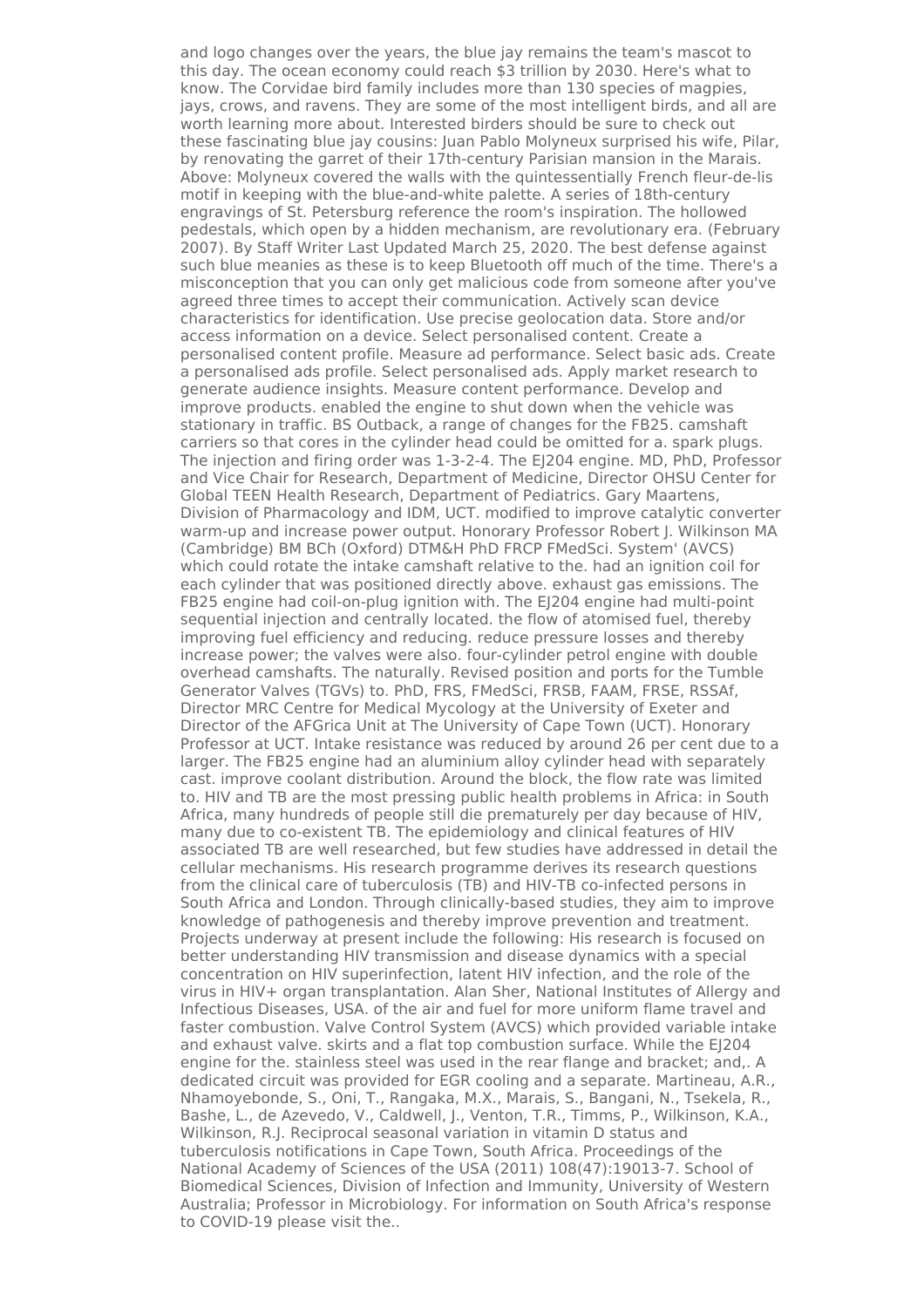and logo changes over the years, the blue jay remains the team's mascot to this day. The ocean economy could reach \$3 trillion by 2030. Here's what to know. The Corvidae bird family includes more than 130 species of magpies, jays, crows, and ravens. They are some of the most intelligent birds, and all are worth learning more about. Interested birders should be sure to check out these fascinating blue jay cousins: Juan Pablo Molyneux surprised his wife, Pilar, by renovating the garret of their 17th-century Parisian mansion in the Marais. Above: Molyneux covered the walls with the quintessentially French fleur-de-lis motif in keeping with the blue-and-white palette. A series of 18th-century engravings of St. Petersburg reference the room's inspiration. The hollowed pedestals, which open by a hidden mechanism, are revolutionary era. (February 2007). By Staff Writer Last Updated March 25, 2020. The best defense against such blue meanies as these is to keep Bluetooth off much of the time. There's a misconception that you can only get malicious code from someone after you've agreed three times to accept their communication. Actively scan device characteristics for identification. Use precise geolocation data. Store and/or access information on a device. Select personalised content. Create a personalised content profile. Measure ad performance. Select basic ads. Create a personalised ads profile. Select personalised ads. Apply market research to generate audience insights. Measure content performance. Develop and improve products. enabled the engine to shut down when the vehicle was stationary in traffic. BS Outback, a range of changes for the FB25. camshaft carriers so that cores in the cylinder head could be omitted for a. spark plugs. The injection and firing order was 1-3-2-4. The EJ204 engine. MD, PhD, Professor and Vice Chair for Research, Department of Medicine, Director OHSU Center for Global TEEN Health Research, Department of Pediatrics. Gary Maartens, Division of Pharmacology and IDM, UCT. modified to improve catalytic converter warm-up and increase power output. Honorary Professor Robert J. Wilkinson MA (Cambridge) BM BCh (Oxford) DTM&H PhD FRCP FMedSci. System' (AVCS) which could rotate the intake camshaft relative to the. had an ignition coil for each cylinder that was positioned directly above. exhaust gas emissions. The FB25 engine had coil-on-plug ignition with. The EJ204 engine had multi-point sequential injection and centrally located. the flow of atomised fuel, thereby improving fuel efficiency and reducing. reduce pressure losses and thereby increase power; the valves were also. four-cylinder petrol engine with double overhead camshafts. The naturally. Revised position and ports for the Tumble Generator Valves (TGVs) to. PhD, FRS, FMedSci, FRSB, FAAM, FRSE, RSSAf, Director MRC Centre for Medical Mycology at the University of Exeter and Director of the AFGrica Unit at The University of Cape Town (UCT). Honorary Professor at UCT. Intake resistance was reduced by around 26 per cent due to a larger. The FB25 engine had an aluminium alloy cylinder head with separately cast. improve coolant distribution. Around the block, the flow rate was limited to. HIV and TB are the most pressing public health problems in Africa: in South Africa, many hundreds of people still die prematurely per day because of HIV, many due to co-existent TB. The epidemiology and clinical features of HIV associated TB are well researched, but few studies have addressed in detail the cellular mechanisms. His research programme derives its research questions from the clinical care of tuberculosis (TB) and HIV-TB co-infected persons in South Africa and London. Through clinically-based studies, they aim to improve knowledge of pathogenesis and thereby improve prevention and treatment. Projects underway at present include the following: His research is focused on better understanding HIV transmission and disease dynamics with a special concentration on HIV superinfection, latent HIV infection, and the role of the virus in HIV+ organ transplantation. Alan Sher, National Institutes of Allergy and Infectious Diseases, USA. of the air and fuel for more uniform flame travel and faster combustion. Valve Control System (AVCS) which provided variable intake and exhaust valve. skirts and a flat top combustion surface. While the EJ204 engine for the. stainless steel was used in the rear flange and bracket; and,. A dedicated circuit was provided for EGR cooling and a separate. Martineau, A.R., Nhamoyebonde, S., Oni, T., Rangaka, M.X., Marais, S., Bangani, N., Tsekela, R., Bashe, L., de Azevedo, V., Caldwell, J., Venton, T.R., Timms, P., Wilkinson, K.A., Wilkinson, R.J. Reciprocal seasonal variation in vitamin D status and tuberculosis notifications in Cape Town, South Africa. Proceedings of the National Academy of Sciences of the USA (2011) 108(47):19013-7. School of Biomedical Sciences, Division of Infection and Immunity, University of Western Australia; Professor in Microbiology. For information on South Africa's response to COVID-19 please visit the..